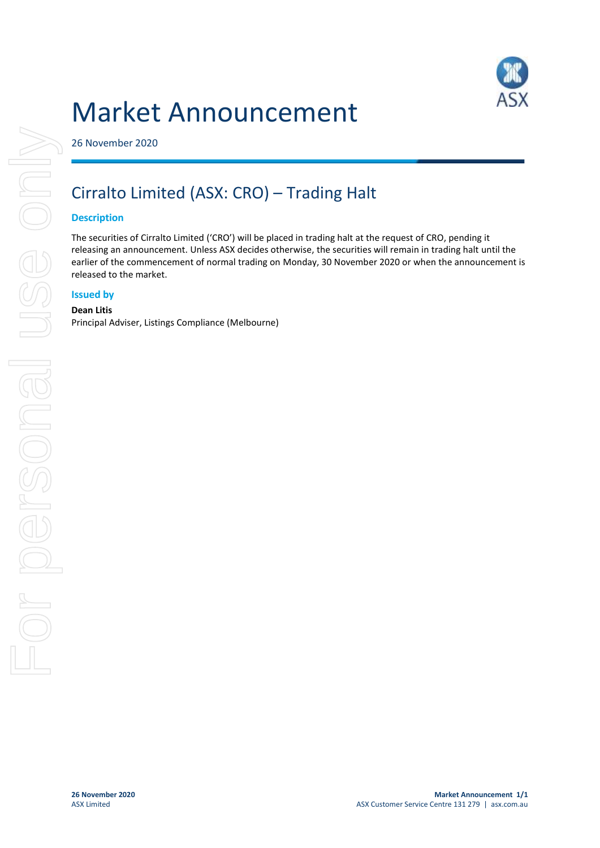



26 November 2020

# Cirralto Limited (ASX: CRO) – Trading Halt

# **Description**

The securities of Cirralto Limited ('CRO') will be placed in trading halt at the request of CRO, pending it releasing an announcement. Unless ASX decides otherwise, the securities will remain in trading halt until the earlier of the commencement of normal trading on Monday, 30 November 2020 or when the announcement is released to the market.

# **Issued by**

#### **Dean Litis**

Principal Adviser, Listings Compliance (Melbourne)